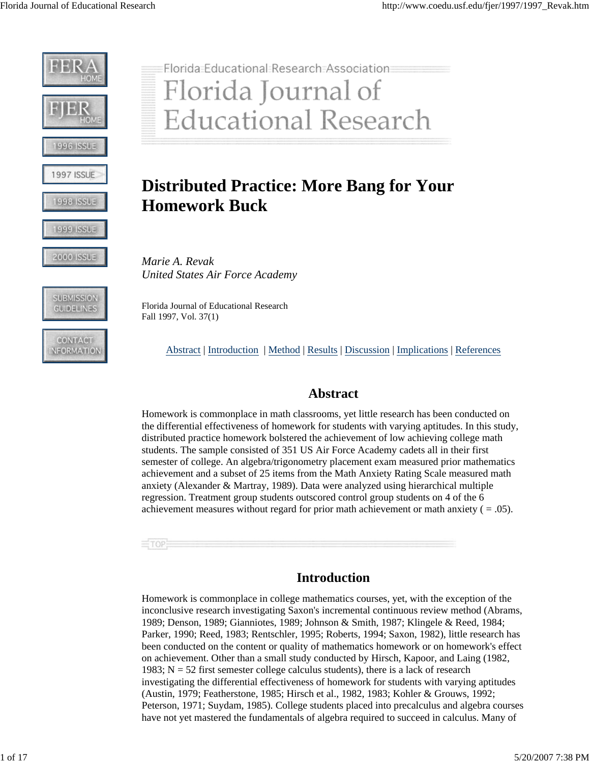







# Florida Educational Research Association Florida Journal of **Educational Research**

## **Distributed Practice: More Bang for Your Homework Buck**

*Marie A. Revak United States Air Force Academy* 

Florida Journal of Educational Research Fall 1997, Vol. 37(1)

Abstract | Introduction | Method | Results | Discussion | Implications | References

## **Abstract**

Homework is commonplace in math classrooms, yet little research has been conducted on the differential effectiveness of homework for students with varying aptitudes. In this study, distributed practice homework bolstered the achievement of low achieving college math students. The sample consisted of 351 US Air Force Academy cadets all in their first semester of college. An algebra/trigonometry placement exam measured prior mathematics achievement and a subset of 25 items from the Math Anxiety Rating Scale measured math anxiety (Alexander & Martray, 1989). Data were analyzed using hierarchical multiple regression. Treatment group students outscored control group students on 4 of the 6 achievement measures without regard for prior math achievement or math anxiety ( $= .05$ ).

#### $\equiv$ TOP:

## **Introduction**

Homework is commonplace in college mathematics courses, yet, with the exception of the inconclusive research investigating Saxon's incremental continuous review method (Abrams, 1989; Denson, 1989; Gianniotes, 1989; Johnson & Smith, 1987; Klingele & Reed, 1984; Parker, 1990; Reed, 1983; Rentschler, 1995; Roberts, 1994; Saxon, 1982), little research has been conducted on the content or quality of mathematics homework or on homework's effect on achievement. Other than a small study conducted by Hirsch, Kapoor, and Laing (1982, 1983;  $N = 52$  first semester college calculus students), there is a lack of research investigating the differential effectiveness of homework for students with varying aptitudes (Austin, 1979; Featherstone, 1985; Hirsch et al., 1982, 1983; Kohler & Grouws, 1992; Peterson, 1971; Suydam, 1985). College students placed into precalculus and algebra courses have not yet mastered the fundamentals of algebra required to succeed in calculus. Many of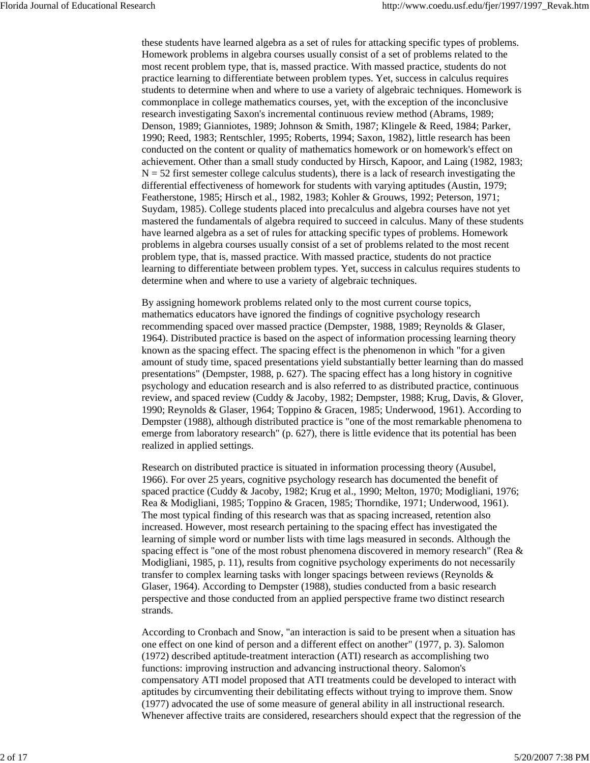these students have learned algebra as a set of rules for attacking specific types of problems. Homework problems in algebra courses usually consist of a set of problems related to the most recent problem type, that is, massed practice. With massed practice, students do not practice learning to differentiate between problem types. Yet, success in calculus requires students to determine when and where to use a variety of algebraic techniques. Homework is commonplace in college mathematics courses, yet, with the exception of the inconclusive research investigating Saxon's incremental continuous review method (Abrams, 1989; Denson, 1989; Gianniotes, 1989; Johnson & Smith, 1987; Klingele & Reed, 1984; Parker, 1990; Reed, 1983; Rentschler, 1995; Roberts, 1994; Saxon, 1982), little research has been conducted on the content or quality of mathematics homework or on homework's effect on achievement. Other than a small study conducted by Hirsch, Kapoor, and Laing (1982, 1983;  $N = 52$  first semester college calculus students), there is a lack of research investigating the differential effectiveness of homework for students with varying aptitudes (Austin, 1979; Featherstone, 1985; Hirsch et al., 1982, 1983; Kohler & Grouws, 1992; Peterson, 1971; Suydam, 1985). College students placed into precalculus and algebra courses have not yet mastered the fundamentals of algebra required to succeed in calculus. Many of these students have learned algebra as a set of rules for attacking specific types of problems. Homework problems in algebra courses usually consist of a set of problems related to the most recent problem type, that is, massed practice. With massed practice, students do not practice learning to differentiate between problem types. Yet, success in calculus requires students to determine when and where to use a variety of algebraic techniques.

By assigning homework problems related only to the most current course topics, mathematics educators have ignored the findings of cognitive psychology research recommending spaced over massed practice (Dempster, 1988, 1989; Reynolds & Glaser, 1964). Distributed practice is based on the aspect of information processing learning theory known as the spacing effect. The spacing effect is the phenomenon in which "for a given amount of study time, spaced presentations yield substantially better learning than do massed presentations" (Dempster, 1988, p. 627). The spacing effect has a long history in cognitive psychology and education research and is also referred to as distributed practice, continuous review, and spaced review (Cuddy & Jacoby, 1982; Dempster, 1988; Krug, Davis, & Glover, 1990; Reynolds & Glaser, 1964; Toppino & Gracen, 1985; Underwood, 1961). According to Dempster (1988), although distributed practice is "one of the most remarkable phenomena to emerge from laboratory research" (p. 627), there is little evidence that its potential has been realized in applied settings.

Research on distributed practice is situated in information processing theory (Ausubel, 1966). For over 25 years, cognitive psychology research has documented the benefit of spaced practice (Cuddy & Jacoby, 1982; Krug et al., 1990; Melton, 1970; Modigliani, 1976; Rea & Modigliani, 1985; Toppino & Gracen, 1985; Thorndike, 1971; Underwood, 1961). The most typical finding of this research was that as spacing increased, retention also increased. However, most research pertaining to the spacing effect has investigated the learning of simple word or number lists with time lags measured in seconds. Although the spacing effect is "one of the most robust phenomena discovered in memory research" (Rea & Modigliani, 1985, p. 11), results from cognitive psychology experiments do not necessarily transfer to complex learning tasks with longer spacings between reviews (Reynolds & Glaser, 1964). According to Dempster (1988), studies conducted from a basic research perspective and those conducted from an applied perspective frame two distinct research strands.

According to Cronbach and Snow, "an interaction is said to be present when a situation has one effect on one kind of person and a different effect on another" (1977, p. 3). Salomon (1972) described aptitude-treatment interaction (ATI) research as accomplishing two functions: improving instruction and advancing instructional theory. Salomon's compensatory ATI model proposed that ATI treatments could be developed to interact with aptitudes by circumventing their debilitating effects without trying to improve them. Snow (1977) advocated the use of some measure of general ability in all instructional research. Whenever affective traits are considered, researchers should expect that the regression of the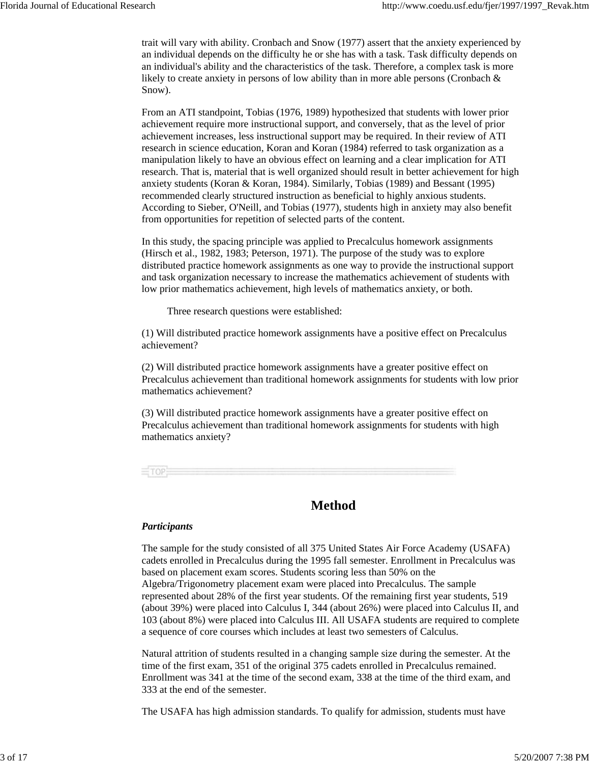trait will vary with ability. Cronbach and Snow (1977) assert that the anxiety experienced by an individual depends on the difficulty he or she has with a task. Task difficulty depends on an individual's ability and the characteristics of the task. Therefore, a complex task is more likely to create anxiety in persons of low ability than in more able persons (Cronbach & Snow).

From an ATI standpoint, Tobias (1976, 1989) hypothesized that students with lower prior achievement require more instructional support, and conversely, that as the level of prior achievement increases, less instructional support may be required. In their review of ATI research in science education, Koran and Koran (1984) referred to task organization as a manipulation likely to have an obvious effect on learning and a clear implication for ATI research. That is, material that is well organized should result in better achievement for high anxiety students (Koran & Koran, 1984). Similarly, Tobias (1989) and Bessant (1995) recommended clearly structured instruction as beneficial to highly anxious students. According to Sieber, O'Neill, and Tobias (1977), students high in anxiety may also benefit from opportunities for repetition of selected parts of the content.

In this study, the spacing principle was applied to Precalculus homework assignments (Hirsch et al., 1982, 1983; Peterson, 1971). The purpose of the study was to explore distributed practice homework assignments as one way to provide the instructional support and task organization necessary to increase the mathematics achievement of students with low prior mathematics achievement, high levels of mathematics anxiety, or both.

Three research questions were established:

(1) Will distributed practice homework assignments have a positive effect on Precalculus achievement?

(2) Will distributed practice homework assignments have a greater positive effect on Precalculus achievement than traditional homework assignments for students with low prior mathematics achievement?

(3) Will distributed practice homework assignments have a greater positive effect on Precalculus achievement than traditional homework assignments for students with high mathematics anxiety?



## **Method**

#### *Participants*

The sample for the study consisted of all 375 United States Air Force Academy (USAFA) cadets enrolled in Precalculus during the 1995 fall semester. Enrollment in Precalculus was based on placement exam scores. Students scoring less than 50% on the Algebra/Trigonometry placement exam were placed into Precalculus. The sample represented about 28% of the first year students. Of the remaining first year students, 519 (about 39%) were placed into Calculus I, 344 (about 26%) were placed into Calculus II, and 103 (about 8%) were placed into Calculus III. All USAFA students are required to complete a sequence of core courses which includes at least two semesters of Calculus.

Natural attrition of students resulted in a changing sample size during the semester. At the time of the first exam, 351 of the original 375 cadets enrolled in Precalculus remained. Enrollment was 341 at the time of the second exam, 338 at the time of the third exam, and 333 at the end of the semester.

The USAFA has high admission standards. To qualify for admission, students must have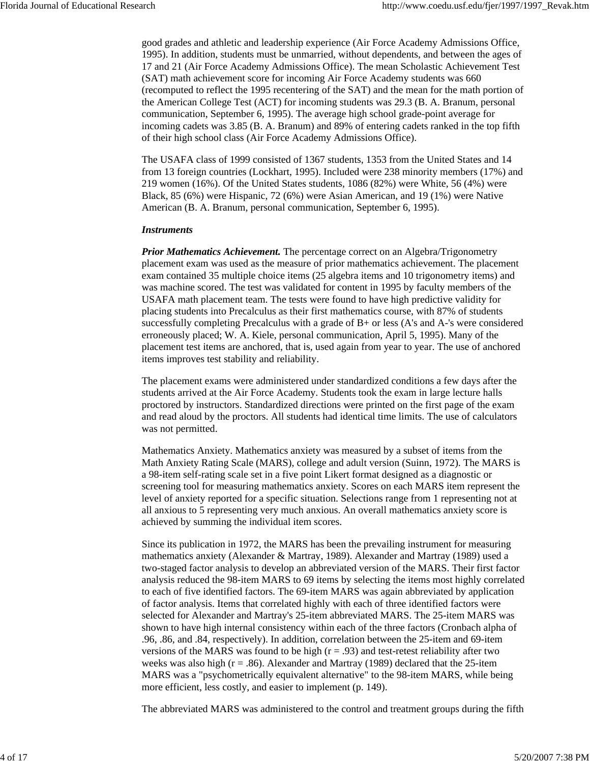good grades and athletic and leadership experience (Air Force Academy Admissions Office, 1995). In addition, students must be unmarried, without dependents, and between the ages of 17 and 21 (Air Force Academy Admissions Office). The mean Scholastic Achievement Test (SAT) math achievement score for incoming Air Force Academy students was 660 (recomputed to reflect the 1995 recentering of the SAT) and the mean for the math portion of the American College Test (ACT) for incoming students was 29.3 (B. A. Branum, personal communication, September 6, 1995). The average high school grade-point average for incoming cadets was 3.85 (B. A. Branum) and 89% of entering cadets ranked in the top fifth of their high school class (Air Force Academy Admissions Office).

The USAFA class of 1999 consisted of 1367 students, 1353 from the United States and 14 from 13 foreign countries (Lockhart, 1995). Included were 238 minority members (17%) and 219 women (16%). Of the United States students, 1086 (82%) were White, 56 (4%) were Black, 85 (6%) were Hispanic, 72 (6%) were Asian American, and 19 (1%) were Native American (B. A. Branum, personal communication, September 6, 1995).

#### *Instruments*

*Prior Mathematics Achievement.* The percentage correct on an Algebra/Trigonometry placement exam was used as the measure of prior mathematics achievement. The placement exam contained 35 multiple choice items (25 algebra items and 10 trigonometry items) and was machine scored. The test was validated for content in 1995 by faculty members of the USAFA math placement team. The tests were found to have high predictive validity for placing students into Precalculus as their first mathematics course, with 87% of students successfully completing Precalculus with a grade of B+ or less (A's and A-'s were considered erroneously placed; W. A. Kiele, personal communication, April 5, 1995). Many of the placement test items are anchored, that is, used again from year to year. The use of anchored items improves test stability and reliability.

The placement exams were administered under standardized conditions a few days after the students arrived at the Air Force Academy. Students took the exam in large lecture halls proctored by instructors. Standardized directions were printed on the first page of the exam and read aloud by the proctors. All students had identical time limits. The use of calculators was not permitted.

Mathematics Anxiety. Mathematics anxiety was measured by a subset of items from the Math Anxiety Rating Scale (MARS), college and adult version (Suinn, 1972). The MARS is a 98-item self-rating scale set in a five point Likert format designed as a diagnostic or screening tool for measuring mathematics anxiety. Scores on each MARS item represent the level of anxiety reported for a specific situation. Selections range from 1 representing not at all anxious to 5 representing very much anxious. An overall mathematics anxiety score is achieved by summing the individual item scores.

Since its publication in 1972, the MARS has been the prevailing instrument for measuring mathematics anxiety (Alexander & Martray, 1989). Alexander and Martray (1989) used a two-staged factor analysis to develop an abbreviated version of the MARS. Their first factor analysis reduced the 98-item MARS to 69 items by selecting the items most highly correlated to each of five identified factors. The 69-item MARS was again abbreviated by application of factor analysis. Items that correlated highly with each of three identified factors were selected for Alexander and Martray's 25-item abbreviated MARS. The 25-item MARS was shown to have high internal consistency within each of the three factors (Cronbach alpha of .96, .86, and .84, respectively). In addition, correlation between the 25-item and 69-item versions of the MARS was found to be high  $(r = .93)$  and test-retest reliability after two weeks was also high ( $r = .86$ ). Alexander and Martray (1989) declared that the 25-item MARS was a "psychometrically equivalent alternative" to the 98-item MARS, while being more efficient, less costly, and easier to implement (p. 149).

The abbreviated MARS was administered to the control and treatment groups during the fifth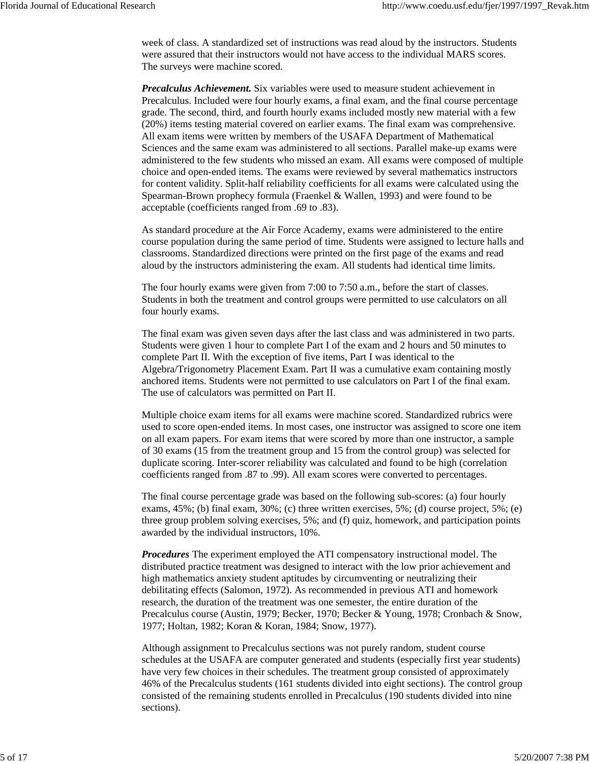week of class. A standardized set of instructions was read aloud by the instructors. Students were assured that their instructors would not have access to the individual MARS scores. The surveys were machine scored.

*Precalculus Achievement.* Six variables were used to measure student achievement in Precalculus. Included were four hourly exams, a final exam, and the final course percentage grade. The second, third, and fourth hourly exams included mostly new material with a few (20%) items testing material covered on earlier exams. The final exam was comprehensive. All exam items were written by members of the USAFA Department of Mathematical Sciences and the same exam was administered to all sections. Parallel make-up exams were administered to the few students who missed an exam. All exams were composed of multiple choice and open-ended items. The exams were reviewed by several mathematics instructors for content validity. Split-half reliability coefficients for all exams were calculated using the Spearman-Brown prophecy formula (Fraenkel & Wallen, 1993) and were found to be acceptable (coefficients ranged from .69 to .83).

As standard procedure at the Air Force Academy, exams were administered to the entire course population during the same period of time. Students were assigned to lecture halls and classrooms. Standardized directions were printed on the first page of the exams and read aloud by the instructors administering the exam. All students had identical time limits.

The four hourly exams were given from 7:00 to 7:50 a.m., before the start of classes. Students in both the treatment and control groups were permitted to use calculators on all four hourly exams.

The final exam was given seven days after the last class and was administered in two parts. Students were given 1 hour to complete Part I of the exam and 2 hours and 50 minutes to complete Part II. With the exception of five items, Part I was identical to the Algebra/Trigonometry Placement Exam. Part II was a cumulative exam containing mostly anchored items. Students were not permitted to use calculators on Part I of the final exam. The use of calculators was permitted on Part II.

Multiple choice exam items for all exams were machine scored. Standardized rubrics were used to score open-ended items. In most cases, one instructor was assigned to score one item on all exam papers. For exam items that were scored by more than one instructor, a sample of 30 exams (15 from the treatment group and 15 from the control group) was selected for duplicate scoring. Inter-scorer reliability was calculated and found to be high (correlation coefficients ranged from .87 to .99). All exam scores were converted to percentages.

The final course percentage grade was based on the following sub-scores: (a) four hourly exams,  $45\%$ ; (b) final exam,  $30\%$ ; (c) three written exercises,  $5\%$ ; (d) course project,  $5\%$ ; (e) three group problem solving exercises, 5%; and (f) quiz, homework, and participation points awarded by the individual instructors, 10%.

*Procedures* The experiment employed the ATI compensatory instructional model. The distributed practice treatment was designed to interact with the low prior achievement and high mathematics anxiety student aptitudes by circumventing or neutralizing their debilitating effects (Salomon, 1972). As recommended in previous ATI and homework research, the duration of the treatment was one semester, the entire duration of the Precalculus course (Austin, 1979; Becker, 1970; Becker & Young, 1978; Cronbach & Snow, 1977; Holtan, 1982; Koran & Koran, 1984; Snow, 1977).

Although assignment to Precalculus sections was not purely random, student course schedules at the USAFA are computer generated and students (especially first year students) have very few choices in their schedules. The treatment group consisted of approximately 46% of the Precalculus students (161 students divided into eight sections). The control group consisted of the remaining students enrolled in Precalculus (190 students divided into nine sections).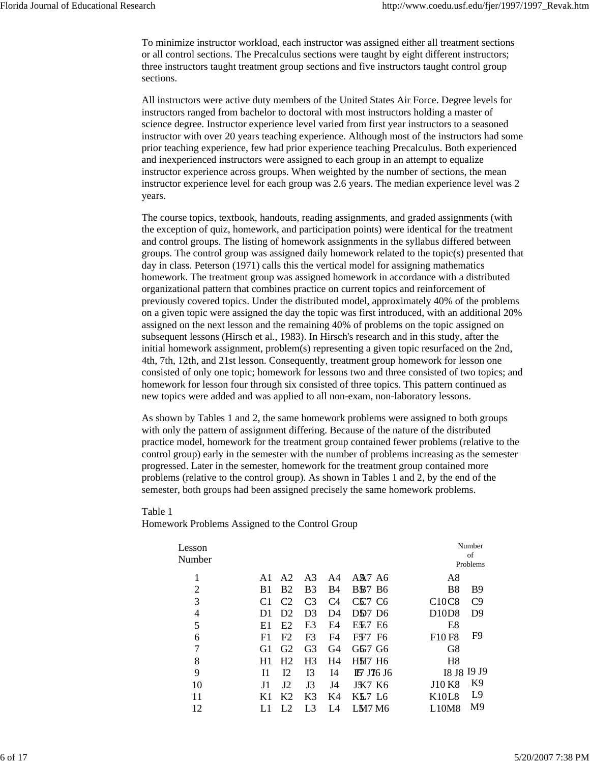To minimize instructor workload, each instructor was assigned either all treatment sections or all control sections. The Precalculus sections were taught by eight different instructors; three instructors taught treatment group sections and five instructors taught control group sections.

All instructors were active duty members of the United States Air Force. Degree levels for instructors ranged from bachelor to doctoral with most instructors holding a master of science degree. Instructor experience level varied from first year instructors to a seasoned instructor with over 20 years teaching experience. Although most of the instructors had some prior teaching experience, few had prior experience teaching Precalculus. Both experienced and inexperienced instructors were assigned to each group in an attempt to equalize instructor experience across groups. When weighted by the number of sections, the mean instructor experience level for each group was 2.6 years. The median experience level was 2 years.

The course topics, textbook, handouts, reading assignments, and graded assignments (with the exception of quiz, homework, and participation points) were identical for the treatment and control groups. The listing of homework assignments in the syllabus differed between groups. The control group was assigned daily homework related to the topic(s) presented that day in class. Peterson (1971) calls this the vertical model for assigning mathematics homework. The treatment group was assigned homework in accordance with a distributed organizational pattern that combines practice on current topics and reinforcement of previously covered topics. Under the distributed model, approximately 40% of the problems on a given topic were assigned the day the topic was first introduced, with an additional 20% assigned on the next lesson and the remaining 40% of problems on the topic assigned on subsequent lessons (Hirsch et al., 1983). In Hirsch's research and in this study, after the initial homework assignment, problem(s) representing a given topic resurfaced on the 2nd, 4th, 7th, 12th, and 21st lesson. Consequently, treatment group homework for lesson one consisted of only one topic; homework for lessons two and three consisted of two topics; and homework for lesson four through six consisted of three topics. This pattern continued as new topics were added and was applied to all non-exam, non-laboratory lessons.

As shown by Tables 1 and 2, the same homework problems were assigned to both groups with only the pattern of assignment differing. Because of the nature of the distributed practice model, homework for the treatment group contained fewer problems (relative to the control group) early in the semester with the number of problems increasing as the semester progressed. Later in the semester, homework for the treatment group contained more problems (relative to the control group). As shown in Tables 1 and 2, by the end of the semester, both groups had been assigned precisely the same homework problems.

#### Table 1

Homework Problems Assigned to the Control Group

| Lesson<br>Number |                |                |                |                |                                            |                                | Number<br>of<br>Problems |
|------------------|----------------|----------------|----------------|----------------|--------------------------------------------|--------------------------------|--------------------------|
| 1                | A1             | A2             | A <sub>3</sub> | A4             | A <sub>2</sub> A <sub>6</sub>              | A8                             |                          |
| $\overline{2}$   | B <sub>1</sub> | <b>B2</b>      | B <sub>3</sub> | <b>B4</b>      | <b>BB7</b> B6                              | <b>B8</b>                      | B <sub>9</sub>           |
| 3                |                | C <sub>2</sub> | C <sub>3</sub> | C4             | CC <sub>7</sub> C <sub>6</sub>             | C <sub>10</sub> C <sub>8</sub> | C9                       |
| $\overline{4}$   | D1             | D <sub>2</sub> | D <sub>3</sub> | D4             | D <sub>D</sub> <sub>7</sub> D <sub>6</sub> | D <sub>10</sub> D <sub>8</sub> | D <sub>9</sub>           |
| 5                | E1             | E2             | E3             | E4             | EE7 E6                                     | E8                             |                          |
| 6                | F1             | F <sub>2</sub> | F <sub>3</sub> | F4             | FF7 F6                                     | F <sub>10</sub> F <sub>8</sub> | F9                       |
| 7                | G <sub>1</sub> | G <sub>2</sub> | G <sub>3</sub> | G <sub>4</sub> | G67 G6                                     | G8                             |                          |
| 8                | H1             | H <sub>2</sub> | H <sub>3</sub> | H4             | <b>HH7 H6</b>                              | H <sub>8</sub>                 |                          |
| 9                | 11             | 12             | I3             | 14             | <b>IF J76 J6</b>                           | I8 J8 I9 J9                    |                          |
| 10               | J1             | J2             | J3             | J4             | <b>JK7 K6</b>                              | <b>J10 K8</b>                  | K <sub>9</sub>           |
| 11               | K1             | K <sub>2</sub> | K3             | K4             | KL7 L6                                     | K10L8                          | L9                       |
| 12               |                | L <sub>2</sub> | L3             | I 4            | LM7M6                                      | L10M8                          | M <sub>9</sub>           |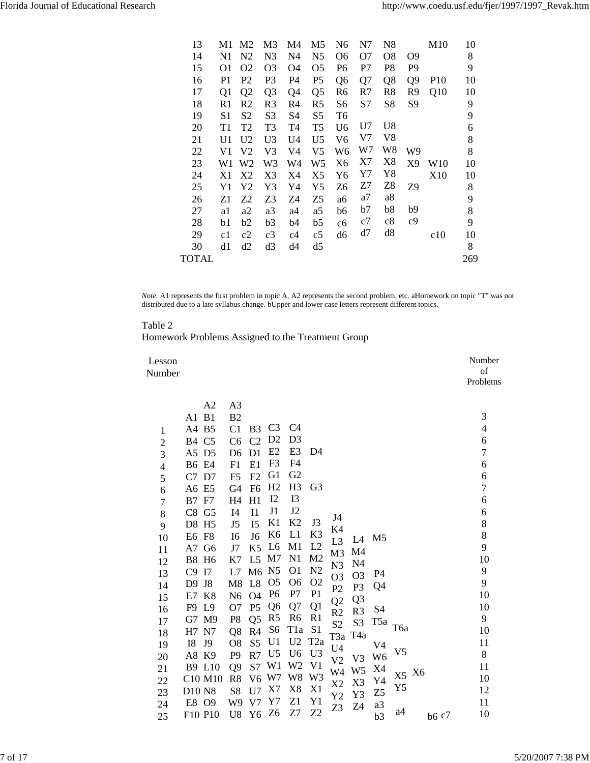| M1             | M <sub>2</sub> | M3             | M4             | M5             | N6             | N7 | N8                         |                                                    | M <sub>10</sub>      | 10  |
|----------------|----------------|----------------|----------------|----------------|----------------|----|----------------------------|----------------------------------------------------|----------------------|-----|
| N1             | N <sub>2</sub> | N <sub>3</sub> | N4             | N <sub>5</sub> | О6             | O7 | O8                         | O9                                                 |                      | 8   |
| O1             | O2             | O3             | O4             | O5             | P6             | P7 | P8                         | P9                                                 |                      | 9   |
| P1             | P <sub>2</sub> | P3             | P4             | P5             | Q <sub>6</sub> | Q7 | Q8                         | Q <sub>9</sub>                                     | P <sub>10</sub>      | 10  |
| Q1             | Q <sub>2</sub> | Q <sub>3</sub> | Q4             | Q <sub>5</sub> | R <sub>6</sub> | R7 | R8                         | R9                                                 | Q10                  | 10  |
| R1             | R2             | R <sub>3</sub> | R4             | R <sub>5</sub> | S6             | S7 | S8                         | S9                                                 |                      | 9   |
| S1             | S2             | S <sub>3</sub> | S4             | S <sub>5</sub> | T6             |    |                            |                                                    |                      | 9   |
| T1             | T2             | T3             | T4             | T <sub>5</sub> | U <sub>6</sub> |    |                            |                                                    |                      | 6   |
| U1             | U <sub>2</sub> | U <sub>3</sub> | U <sub>4</sub> | U <sub>5</sub> | V <sub>6</sub> |    |                            |                                                    |                      | 8   |
| V1             | V2             | V3             | V4             | V5             | W6             |    |                            | W9                                                 |                      | 8   |
| W1             | W2             | W3             | W4             | W5             | X <sub>6</sub> |    |                            | X9                                                 | W10                  | 10  |
| X1             | X2             | X3             | X4             | X5             | Y6             |    |                            |                                                    | X10                  | 10  |
| Y <sub>1</sub> | Y2             | Y3             | Y4             | Y5             | Z6             | Z7 |                            | Z9                                                 |                      | 8   |
| Z1             | Z2             | Z3             | Z4             | Z5             | аб             | a7 |                            |                                                    |                      | 9   |
| a1             | a2             | a3             | a4             | a5             | b6             | b7 |                            |                                                    |                      | 8   |
| b1             | b2             | b3             | b4             | b5             | cб             | c7 |                            |                                                    |                      | 9   |
| c1             | c2             | c3             | c4             | c5             | d6             | d7 | d8                         |                                                    | c10                  | 10  |
| d1             | d2             | d3             | d4             | d5             |                |    |                            |                                                    |                      | 8   |
|                |                |                |                |                |                |    |                            |                                                    |                      | 269 |
|                |                |                |                |                |                |    | U7<br>V7<br>W7<br>X7<br>Y7 | U8<br>V8<br>W8<br>X8<br>Y8<br>Z8<br>a8<br>b8<br>c8 | b9<br>c <sub>9</sub> |     |

*Note.* A1 represents the first problem in topic A, A2 represents the second problem, etc. aHomework on topic "T" was not distributed due to a late syllabus change. bUpper and lower case letters represent different topics.

#### Table 2

Homework Problems Assigned to the Treatment Group

| Lesson<br>Number         |                 |                |                |                                  |                |                                   |                |                  |                  |                |    |       | Number<br>of<br>Problems |
|--------------------------|-----------------|----------------|----------------|----------------------------------|----------------|-----------------------------------|----------------|------------------|------------------|----------------|----|-------|--------------------------|
|                          | A2              | A <sub>3</sub> |                |                                  |                |                                   |                |                  |                  |                |    |       |                          |
|                          | A1 B1           | B <sub>2</sub> |                |                                  |                |                                   |                |                  |                  |                |    |       | 3                        |
| 1                        | A4 B5           | C <sub>1</sub> | B <sub>3</sub> | C <sub>3</sub>                   | C <sub>4</sub> |                                   |                |                  |                  |                |    |       | $\overline{\mathcal{A}}$ |
| $\overline{c}$           | <b>B4 C5</b>    | C6             | C <sub>2</sub> | D <sub>2</sub>                   | D <sub>3</sub> |                                   |                |                  |                  |                |    |       | 6                        |
| 3                        | A5 D5           | D <sub>6</sub> | D <sub>1</sub> | E2                               | E3             | D4                                |                |                  |                  |                |    |       | 7                        |
| $\overline{\mathcal{L}}$ | <b>B6 E4</b>    | F1             | E1             | F <sub>3</sub>                   | F <sub>4</sub> |                                   |                |                  |                  |                |    |       | 6                        |
| 5                        | C7 D7           | F <sub>5</sub> | F2             | G <sub>1</sub>                   | G <sub>2</sub> |                                   |                |                  |                  |                |    |       | 6                        |
| 6                        | A6 E5           | G4             | F <sub>6</sub> | H2                               | H <sub>3</sub> | G <sub>3</sub>                    |                |                  |                  |                |    |       | $\overline{7}$           |
| 7                        | <b>B7 F7</b>    | H <sub>4</sub> | H1             | 12                               | I3             |                                   |                |                  |                  |                |    |       | 6                        |
| 8                        | $C8$ $G5$       | I <sub>4</sub> | I <sub>1</sub> | J1                               | J2             |                                   | J4             |                  |                  |                |    |       | 6                        |
| 9                        | D8 H5           | J5             | I <sub>5</sub> | K1                               | K2             | J3                                | K4             |                  |                  |                |    |       | $8\,$                    |
| 10                       | E6 F8           | I <sub>6</sub> | J <sub>6</sub> | K <sub>6</sub>                   | L1             | K <sub>3</sub>                    | L <sub>3</sub> | L4               | M <sub>5</sub>   |                |    |       | 8                        |
| 11                       | A7 G6           | J7             | K <sub>5</sub> | L <sub>6</sub>                   | M <sub>1</sub> | L2                                | M <sub>3</sub> | M4               |                  |                |    |       | 9                        |
| 12                       | <b>B8 H6</b>    | K7             | L <sub>5</sub> | M7                               | N1             | M <sub>2</sub>                    | N <sub>3</sub> | N <sub>4</sub>   |                  |                |    |       | 10                       |
| 13                       | C9<br>I7        | L7             | M <sub>6</sub> | N <sub>5</sub>                   | O <sub>1</sub> | N <sub>2</sub>                    | O <sub>3</sub> | O <sub>3</sub>   | P4               |                |    |       | 9                        |
| 14                       | D9<br>J8        | M8             | L8             | O <sub>5</sub>                   | O <sub>6</sub> | O <sub>2</sub>                    | P2             | P <sub>3</sub>   | Q4               |                |    |       | 9                        |
| 15                       | E7 K8           | N <sub>6</sub> | O <sub>4</sub> | P <sub>6</sub>                   | P7             | P <sub>1</sub>                    | Q <sub>2</sub> | Q3               |                  |                |    |       | 10                       |
| 16                       | F9 L9           | O <sub>7</sub> | P <sub>5</sub> | Q <sub>6</sub>                   | Q7             | Q1                                | R <sub>2</sub> | R <sub>3</sub>   | S4               |                |    |       | 10                       |
| 17                       | G7 M9           | P <sub>8</sub> | Q <sub>5</sub> | R <sub>5</sub>                   | R <sub>6</sub> | R1                                | S <sub>2</sub> | S <sub>3</sub>   | T <sub>5</sub> a | T6a            |    |       | 9                        |
| 18                       | N7<br>H7        | Q8             | R <sub>4</sub> | S <sub>6</sub>                   | T1a<br>U2      | S <sub>1</sub><br>T <sub>2a</sub> | T3a            | T <sub>4</sub> a |                  |                |    |       | 10                       |
| 19                       | J9<br><b>I8</b> | O <sub>8</sub> | S <sub>5</sub> | U <sub>1</sub><br>U <sub>5</sub> | U <sub>6</sub> | U <sub>3</sub>                    | U4             |                  | V4               | V5             |    |       | 11                       |
| 20                       | A8 K9           | P <sub>9</sub> | R7             | W1                               | W <sub>2</sub> | V <sub>1</sub>                    | V <sub>2</sub> | V <sub>3</sub>   | W <sub>6</sub>   |                |    |       | 8                        |
| 21                       | <b>B9 L10</b>   | Q <sub>9</sub> | S7             | W7                               | W8             | W <sub>3</sub>                    | W4             | W <sub>5</sub>   | X4               | X <sub>5</sub> | X6 |       | 11                       |
| 22                       | C10 M10         | R <sub>8</sub> | V <sub>6</sub> | X7                               | X8             | X1                                | X <sub>2</sub> | X3               | Y4               | Y5             |    |       | 10                       |
| 23                       | D10 N8          | S8             | U7             | Y7                               | Z1             | Y1                                | Y2             | Y3               | Z <sub>5</sub>   |                |    |       | 12<br>11                 |
| 24                       | E8 O9           | W9             | V <sub>7</sub> | Z <sub>6</sub>                   | Z7             | Z2                                | Z3             | Z4               | a3               | a4             |    |       |                          |
| 25                       | F10 P10         | U <sub>8</sub> | Y <sub>6</sub> |                                  |                |                                   |                |                  | b3               |                |    | b6 c7 | 10                       |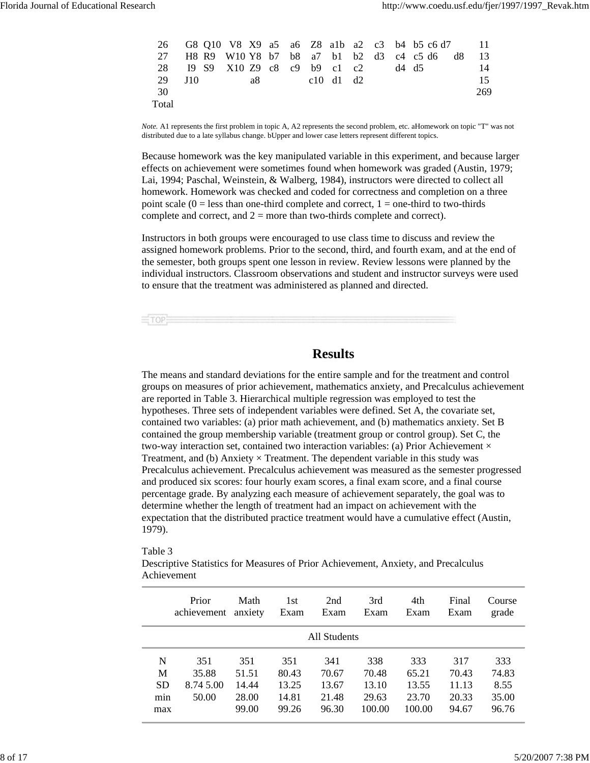|                                |     |  |      |  |           |  | 26 G8 Q10 V8 X9 a5 a6 Z8 a1b a2 c3 b4 b5 c6 d7 11 |     |
|--------------------------------|-----|--|------|--|-----------|--|---------------------------------------------------|-----|
| 27                             |     |  |      |  |           |  | H8 R9 W10 Y8 b7 b8 a7 b1 b2 d3 c4 c5 d6 d8        | -13 |
| 28 I9 S9 X10 Z9 c8 c9 b9 c1 c2 |     |  |      |  |           |  | d4 d5                                             | 14  |
| -29                            | J10 |  | a8 — |  | c10 d1 d2 |  |                                                   | 15  |
| - 30                           |     |  |      |  |           |  |                                                   | 269 |
| Total                          |     |  |      |  |           |  |                                                   |     |

*Note.* A1 represents the first problem in topic A, A2 represents the second problem, etc. aHomework on topic "T" was not distributed due to a late syllabus change. bUpper and lower case letters represent different topics.

Because homework was the key manipulated variable in this experiment, and because larger effects on achievement were sometimes found when homework was graded (Austin, 1979; Lai, 1994; Paschal, Weinstein, & Walberg, 1984), instructors were directed to collect all homework. Homework was checked and coded for correctness and completion on a three point scale  $(0 =$  less than one-third complete and correct,  $1 =$  one-third to two-thirds complete and correct, and  $2 =$  more than two-thirds complete and correct).

Instructors in both groups were encouraged to use class time to discuss and review the assigned homework problems. Prior to the second, third, and fourth exam, and at the end of the semester, both groups spent one lesson in review. Review lessons were planned by the individual instructors. Classroom observations and student and instructor surveys were used to ensure that the treatment was administered as planned and directed.

 $\equiv$ TOPE

## **Results**

The means and standard deviations for the entire sample and for the treatment and control groups on measures of prior achievement, mathematics anxiety, and Precalculus achievement are reported in Table 3. Hierarchical multiple regression was employed to test the hypotheses. Three sets of independent variables were defined. Set A, the covariate set, contained two variables: (a) prior math achievement, and (b) mathematics anxiety. Set B contained the group membership variable (treatment group or control group). Set C, the two-way interaction set, contained two interaction variables: (a) Prior Achievement  $\times$ Treatment, and (b) Anxiety  $\times$  Treatment. The dependent variable in this study was Precalculus achievement. Precalculus achievement was measured as the semester progressed and produced six scores: four hourly exam scores, a final exam score, and a final course percentage grade. By analyzing each measure of achievement separately, the goal was to determine whether the length of treatment had an impact on achievement with the expectation that the distributed practice treatment would have a cumulative effect (Austin, 1979).

#### Table 3

Descriptive Statistics for Measures of Prior Achievement, Anxiety, and Precalculus Achievement

|                                   | Prior<br>achievement               | Math<br>anxiety                         | 1st<br>Exam                             | 2nd<br>Exam                             | 3rd<br>Exam                              | 4th<br>Exam                              | Final<br>Exam                           | Course<br>grade                        |  |  |
|-----------------------------------|------------------------------------|-----------------------------------------|-----------------------------------------|-----------------------------------------|------------------------------------------|------------------------------------------|-----------------------------------------|----------------------------------------|--|--|
| All Students                      |                                    |                                         |                                         |                                         |                                          |                                          |                                         |                                        |  |  |
| N<br>M<br><b>SD</b><br>min<br>max | 351<br>35.88<br>8.74 5.00<br>50.00 | 351<br>51.51<br>14.44<br>28.00<br>99.00 | 351<br>80.43<br>13.25<br>14.81<br>99.26 | 341<br>70.67<br>13.67<br>21.48<br>96.30 | 338<br>70.48<br>13.10<br>29.63<br>100.00 | 333<br>65.21<br>13.55<br>23.70<br>100.00 | 317<br>70.43<br>11.13<br>20.33<br>94.67 | 333<br>74.83<br>8.55<br>35.00<br>96.76 |  |  |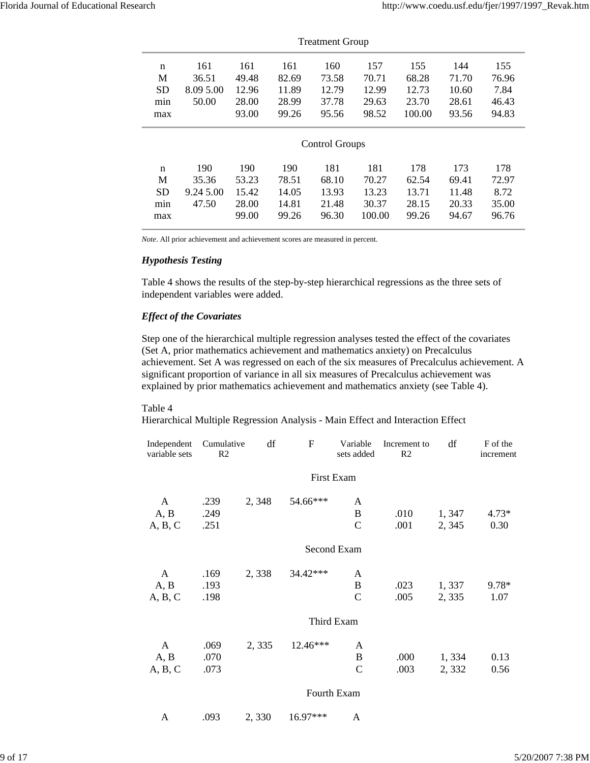|              | <b>Treatment Group</b> |       |       |                       |        |        |       |       |  |  |  |
|--------------|------------------------|-------|-------|-----------------------|--------|--------|-------|-------|--|--|--|
| $\mathsf{n}$ | 161                    | 161   | 161   | 160                   | 157    | 155    | 144   | 155   |  |  |  |
| M            | 36.51                  | 49.48 | 82.69 | 73.58                 | 70.71  | 68.28  | 71.70 | 76.96 |  |  |  |
| <b>SD</b>    | 8.09 5.00              | 12.96 | 11.89 | 12.79                 | 12.99  | 12.73  | 10.60 | 7.84  |  |  |  |
| min          | 50.00                  | 28.00 | 28.99 | 37.78                 | 29.63  | 23.70  | 28.61 | 46.43 |  |  |  |
| max          |                        | 93.00 | 99.26 | 95.56                 | 98.52  | 100.00 | 93.56 | 94.83 |  |  |  |
|              |                        |       |       | <b>Control Groups</b> |        |        |       |       |  |  |  |
| $\mathsf{n}$ | 190                    | 190   | 190   | 181                   | 181    | 178    | 173   | 178   |  |  |  |
| M            | 35.36                  | 53.23 | 78.51 | 68.10                 | 70.27  | 62.54  | 69.41 | 72.97 |  |  |  |
| <b>SD</b>    | 9.24 5.00              | 15.42 | 14.05 | 13.93                 | 13.23  | 13.71  | 11.48 | 8.72  |  |  |  |
| min          | 47.50                  | 28.00 | 14.81 | 21.48                 | 30.37  | 28.15  | 20.33 | 35.00 |  |  |  |
| max          |                        | 99.00 | 99.26 | 96.30                 | 100.00 | 99.26  | 94.67 | 96.76 |  |  |  |

*Note*. All prior achievement and achievement scores are measured in percent.

#### *Hypothesis Testing*

Table 4 shows the results of the step-by-step hierarchical regressions as the three sets of independent variables were added.

#### *Effect of the Covariates*

Step one of the hierarchical multiple regression analyses tested the effect of the covariates (Set A, prior mathematics achievement and mathematics anxiety) on Precalculus achievement. Set A was regressed on each of the six measures of Precalculus achievement. A significant proportion of variance in all six measures of Precalculus achievement was explained by prior mathematics achievement and mathematics anxiety (see Table 4).

#### Table 4

Hierarchical Multiple Regression Analysis - Main Effect and Interaction Effect

| Independent<br>variable sets | Cumulative<br>R <sub>2</sub> | df    | F          | Variable<br>sets added | Increment to<br>R2 | df     | F of the<br>increment |
|------------------------------|------------------------------|-------|------------|------------------------|--------------------|--------|-----------------------|
|                              |                              |       |            | First Exam             |                    |        |                       |
| A                            | .239                         | 2,348 | 54.66***   | A                      |                    |        |                       |
| A, B                         | .249                         |       |            | B                      | .010               | 1, 347 | $4.73*$               |
| A, B, C                      | .251                         |       |            | $\mathbf C$            | .001               | 2, 345 | 0.30                  |
|                              |                              |       |            | Second Exam            |                    |        |                       |
| A                            | .169                         | 2,338 | 34.42***   | A                      |                    |        |                       |
| A, B                         | .193                         |       |            | B                      | .023               | 1,337  | $9.78*$               |
| A, B, C                      | .198                         |       |            | $\mathsf{C}$           | .005               | 2,335  | 1.07                  |
|                              |                              |       |            | Third Exam             |                    |        |                       |
| A                            | .069                         | 2,335 | 12.46***   | A                      |                    |        |                       |
| A, B                         | .070                         |       |            | B                      | .000               | 1,334  | 0.13                  |
| A, B, C                      | .073                         |       |            | $\mathbf C$            | .003               | 2,332  | 0.56                  |
|                              |                              |       |            | Fourth Exam            |                    |        |                       |
| A                            | .093                         | 2.330 | $16.97***$ | A                      |                    |        |                       |

9 of 17 5/20/2007 7:38 PM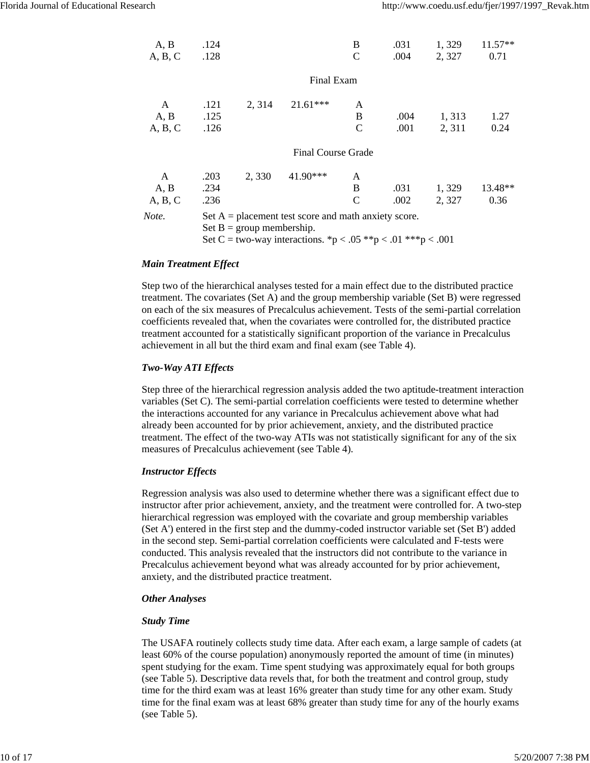| A, B    | .124 |                             |                                                                                                                        | B            | .031 | 1,329  | 11.57** |
|---------|------|-----------------------------|------------------------------------------------------------------------------------------------------------------------|--------------|------|--------|---------|
| A, B, C | .128 |                             |                                                                                                                        | C            | .004 | 2, 327 | 0.71    |
|         |      |                             | Final Exam                                                                                                             |              |      |        |         |
| A       | .121 | 2, 314                      | $21.61***$                                                                                                             | A            |      |        |         |
| A, B    | .125 |                             |                                                                                                                        | B            | .004 | 1, 313 | 1.27    |
| A, B, C | .126 |                             |                                                                                                                        | $\mathsf{C}$ | .001 | 2, 311 | 0.24    |
|         |      |                             | <b>Final Course Grade</b>                                                                                              |              |      |        |         |
| A       | .203 | 2,330                       | 41.90***                                                                                                               | A            |      |        |         |
| A, B    | .234 |                             |                                                                                                                        | B            | .031 | 1,329  | 13.48** |
| A, B, C | .236 |                             |                                                                                                                        | C            | .002 | 2,327  | 0.36    |
| Note.   |      | Set $B = group$ membership. | Set $A =$ placement test score and math anxiety score.<br>Set C = two-way interactions. *p < .05 **p < .01 ***p < .001 |              |      |        |         |

#### *Main Treatment Effect*

Step two of the hierarchical analyses tested for a main effect due to the distributed practice treatment. The covariates (Set A) and the group membership variable (Set B) were regressed on each of the six measures of Precalculus achievement. Tests of the semi-partial correlation coefficients revealed that, when the covariates were controlled for, the distributed practice treatment accounted for a statistically significant proportion of the variance in Precalculus achievement in all but the third exam and final exam (see Table 4).

#### *Two-Way ATI Effects*

Step three of the hierarchical regression analysis added the two aptitude-treatment interaction variables (Set C). The semi-partial correlation coefficients were tested to determine whether the interactions accounted for any variance in Precalculus achievement above what had already been accounted for by prior achievement, anxiety, and the distributed practice treatment. The effect of the two-way ATIs was not statistically significant for any of the six measures of Precalculus achievement (see Table 4).

#### *Instructor Effects*

Regression analysis was also used to determine whether there was a significant effect due to instructor after prior achievement, anxiety, and the treatment were controlled for. A two-step hierarchical regression was employed with the covariate and group membership variables (Set A') entered in the first step and the dummy-coded instructor variable set (Set B') added in the second step. Semi-partial correlation coefficients were calculated and F-tests were conducted. This analysis revealed that the instructors did not contribute to the variance in Precalculus achievement beyond what was already accounted for by prior achievement, anxiety, and the distributed practice treatment.

#### *Other Analyses*

#### *Study Time*

The USAFA routinely collects study time data. After each exam, a large sample of cadets (at least 60% of the course population) anonymously reported the amount of time (in minutes) spent studying for the exam. Time spent studying was approximately equal for both groups (see Table 5). Descriptive data revels that, for both the treatment and control group, study time for the third exam was at least 16% greater than study time for any other exam. Study time for the final exam was at least 68% greater than study time for any of the hourly exams (see Table 5).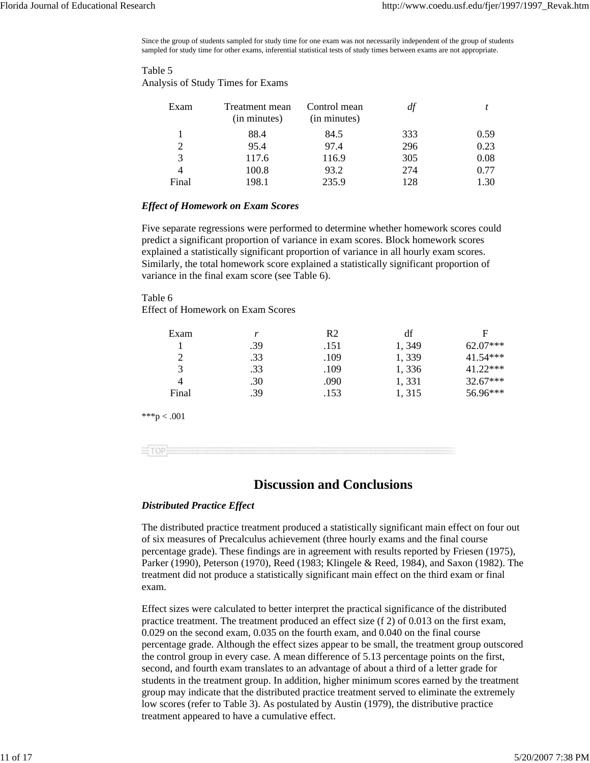Since the group of students sampled for study time for one exam was not necessarily independent of the group of students sampled for study time for other exams, inferential statistical tests of study times between exams are not appropriate.

#### Table 5 Analysis of Study Times for Exams

| Exam  | Treatment mean<br>(in minutes) | Control mean<br>(in minutes) | df  |      |
|-------|--------------------------------|------------------------------|-----|------|
|       | 88.4                           | 84.5                         | 333 | 0.59 |
|       | 95.4                           | 97.4                         | 296 | 0.23 |
| 3     | 117.6                          | 116.9                        | 305 | 0.08 |
|       | 100.8                          | 93.2                         | 274 | 0.77 |
| Final | 198.1                          | 235.9                        | 128 | 1.30 |

#### *Effect of Homework on Exam Scores*

Five separate regressions were performed to determine whether homework scores could predict a significant proportion of variance in exam scores. Block homework scores explained a statistically significant proportion of variance in all hourly exam scores. Similarly, the total homework score explained a statistically significant proportion of variance in the final exam score (see Table 6).

#### Table 6

Effect of Homework on Exam Scores

| Exam        | r   | R <sub>2</sub> | df    | F        |
|-------------|-----|----------------|-------|----------|
|             | .39 | .151           | 1,349 | 62.07*** |
| 2           | .33 | .109           | 1,339 | 41.54*** |
| 3           | .33 | .109           | 1,336 | 41.22*** |
| 4           | .30 | .090           | 1,331 | 32.67*** |
| Final       | .39 | .153           | 1,315 | 56.96*** |
| ***p < .001 |     |                |       |          |
|             |     |                |       |          |

## **Discussion and Conclusions**

#### *Distributed Practice Effect*

The distributed practice treatment produced a statistically significant main effect on four out of six measures of Precalculus achievement (three hourly exams and the final course percentage grade). These findings are in agreement with results reported by Friesen (1975), Parker (1990), Peterson (1970), Reed (1983; Klingele & Reed, 1984), and Saxon (1982). The treatment did not produce a statistically significant main effect on the third exam or final exam.

Effect sizes were calculated to better interpret the practical significance of the distributed practice treatment. The treatment produced an effect size (f 2) of 0.013 on the first exam, 0.029 on the second exam, 0.035 on the fourth exam, and 0.040 on the final course percentage grade. Although the effect sizes appear to be small, the treatment group outscored the control group in every case. A mean difference of 5.13 percentage points on the first, second, and fourth exam translates to an advantage of about a third of a letter grade for students in the treatment group. In addition, higher minimum scores earned by the treatment group may indicate that the distributed practice treatment served to eliminate the extremely low scores (refer to Table 3). As postulated by Austin (1979), the distributive practice treatment appeared to have a cumulative effect.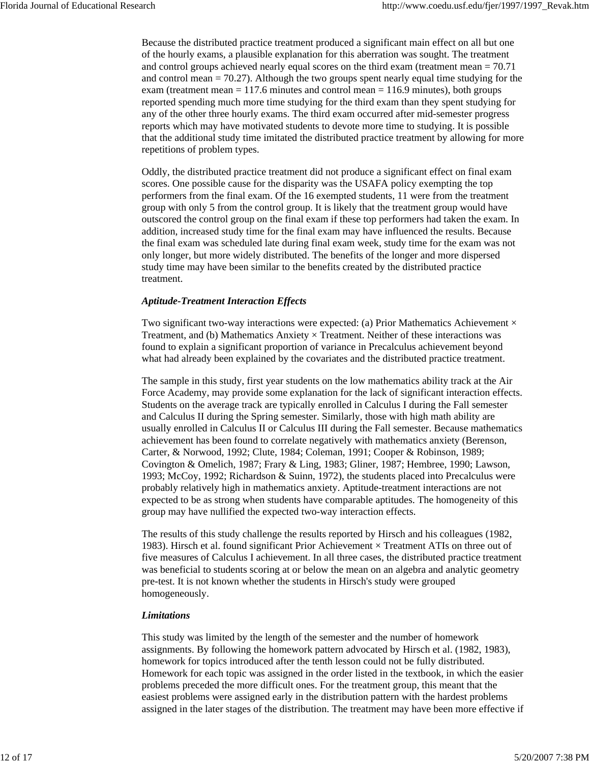Because the distributed practice treatment produced a significant main effect on all but one of the hourly exams, a plausible explanation for this aberration was sought. The treatment and control groups achieved nearly equal scores on the third exam (treatment mean = 70.71 and control mean = 70.27). Although the two groups spent nearly equal time studying for the exam (treatment mean = 117.6 minutes and control mean = 116.9 minutes), both groups reported spending much more time studying for the third exam than they spent studying for any of the other three hourly exams. The third exam occurred after mid-semester progress reports which may have motivated students to devote more time to studying. It is possible that the additional study time imitated the distributed practice treatment by allowing for more repetitions of problem types.

Oddly, the distributed practice treatment did not produce a significant effect on final exam scores. One possible cause for the disparity was the USAFA policy exempting the top performers from the final exam. Of the 16 exempted students, 11 were from the treatment group with only 5 from the control group. It is likely that the treatment group would have outscored the control group on the final exam if these top performers had taken the exam. In addition, increased study time for the final exam may have influenced the results. Because the final exam was scheduled late during final exam week, study time for the exam was not only longer, but more widely distributed. The benefits of the longer and more dispersed study time may have been similar to the benefits created by the distributed practice treatment.

#### *Aptitude-Treatment Interaction Effects*

Two significant two-way interactions were expected: (a) Prior Mathematics Achievement  $\times$ Treatment, and (b) Mathematics Anxiety  $\times$  Treatment. Neither of these interactions was found to explain a significant proportion of variance in Precalculus achievement beyond what had already been explained by the covariates and the distributed practice treatment.

The sample in this study, first year students on the low mathematics ability track at the Air Force Academy, may provide some explanation for the lack of significant interaction effects. Students on the average track are typically enrolled in Calculus I during the Fall semester and Calculus II during the Spring semester. Similarly, those with high math ability are usually enrolled in Calculus II or Calculus III during the Fall semester. Because mathematics achievement has been found to correlate negatively with mathematics anxiety (Berenson, Carter, & Norwood, 1992; Clute, 1984; Coleman, 1991; Cooper & Robinson, 1989; Covington & Omelich, 1987; Frary & Ling, 1983; Gliner, 1987; Hembree, 1990; Lawson, 1993; McCoy, 1992; Richardson & Suinn, 1972), the students placed into Precalculus were probably relatively high in mathematics anxiety. Aptitude-treatment interactions are not expected to be as strong when students have comparable aptitudes. The homogeneity of this group may have nullified the expected two-way interaction effects.

The results of this study challenge the results reported by Hirsch and his colleagues (1982, 1983). Hirsch et al. found significant Prior Achievement  $\times$  Treatment ATIs on three out of five measures of Calculus I achievement. In all three cases, the distributed practice treatment was beneficial to students scoring at or below the mean on an algebra and analytic geometry pre-test. It is not known whether the students in Hirsch's study were grouped homogeneously.

#### *Limitations*

This study was limited by the length of the semester and the number of homework assignments. By following the homework pattern advocated by Hirsch et al. (1982, 1983), homework for topics introduced after the tenth lesson could not be fully distributed. Homework for each topic was assigned in the order listed in the textbook, in which the easier problems preceded the more difficult ones. For the treatment group, this meant that the easiest problems were assigned early in the distribution pattern with the hardest problems assigned in the later stages of the distribution. The treatment may have been more effective if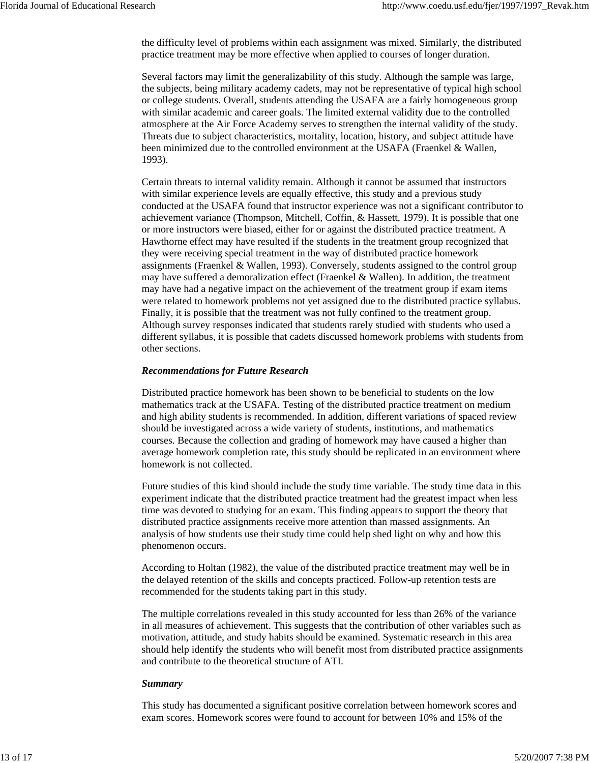the difficulty level of problems within each assignment was mixed. Similarly, the distributed practice treatment may be more effective when applied to courses of longer duration.

Several factors may limit the generalizability of this study. Although the sample was large, the subjects, being military academy cadets, may not be representative of typical high school or college students. Overall, students attending the USAFA are a fairly homogeneous group with similar academic and career goals. The limited external validity due to the controlled atmosphere at the Air Force Academy serves to strengthen the internal validity of the study. Threats due to subject characteristics, mortality, location, history, and subject attitude have been minimized due to the controlled environment at the USAFA (Fraenkel & Wallen, 1993).

Certain threats to internal validity remain. Although it cannot be assumed that instructors with similar experience levels are equally effective, this study and a previous study conducted at the USAFA found that instructor experience was not a significant contributor to achievement variance (Thompson, Mitchell, Coffin, & Hassett, 1979). It is possible that one or more instructors were biased, either for or against the distributed practice treatment. A Hawthorne effect may have resulted if the students in the treatment group recognized that they were receiving special treatment in the way of distributed practice homework assignments (Fraenkel & Wallen, 1993). Conversely, students assigned to the control group may have suffered a demoralization effect (Fraenkel & Wallen). In addition, the treatment may have had a negative impact on the achievement of the treatment group if exam items were related to homework problems not yet assigned due to the distributed practice syllabus. Finally, it is possible that the treatment was not fully confined to the treatment group. Although survey responses indicated that students rarely studied with students who used a different syllabus, it is possible that cadets discussed homework problems with students from other sections.

#### *Recommendations for Future Research*

Distributed practice homework has been shown to be beneficial to students on the low mathematics track at the USAFA. Testing of the distributed practice treatment on medium and high ability students is recommended. In addition, different variations of spaced review should be investigated across a wide variety of students, institutions, and mathematics courses. Because the collection and grading of homework may have caused a higher than average homework completion rate, this study should be replicated in an environment where homework is not collected.

Future studies of this kind should include the study time variable. The study time data in this experiment indicate that the distributed practice treatment had the greatest impact when less time was devoted to studying for an exam. This finding appears to support the theory that distributed practice assignments receive more attention than massed assignments. An analysis of how students use their study time could help shed light on why and how this phenomenon occurs.

According to Holtan (1982), the value of the distributed practice treatment may well be in the delayed retention of the skills and concepts practiced. Follow-up retention tests are recommended for the students taking part in this study.

The multiple correlations revealed in this study accounted for less than 26% of the variance in all measures of achievement. This suggests that the contribution of other variables such as motivation, attitude, and study habits should be examined. Systematic research in this area should help identify the students who will benefit most from distributed practice assignments and contribute to the theoretical structure of ATI.

#### *Summary*

This study has documented a significant positive correlation between homework scores and exam scores. Homework scores were found to account for between 10% and 15% of the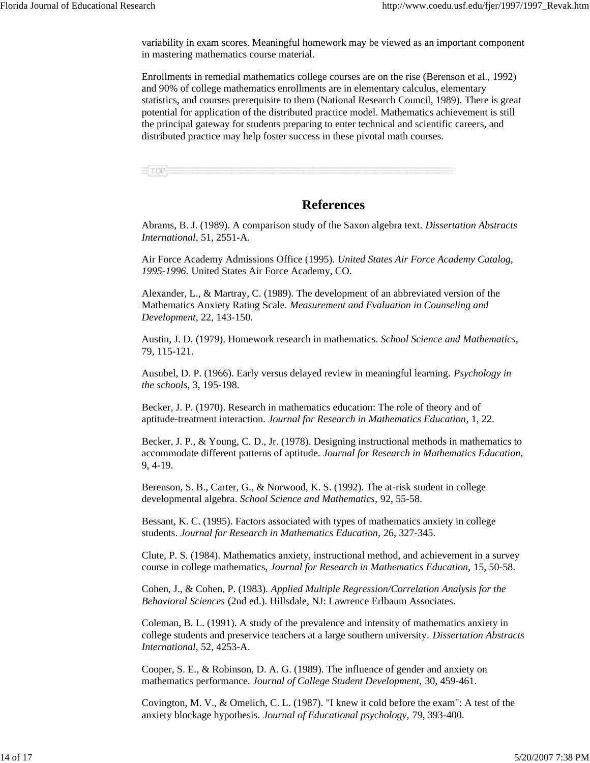variability in exam scores. Meaningful homework may be viewed as an important component in mastering mathematics course material.

Enrollments in remedial mathematics college courses are on the rise (Berenson et al., 1992) and 90% of college mathematics enrollments are in elementary calculus, elementary statistics, and courses prerequisite to them (National Research Council, 1989). There is great potential for application of the distributed practice model. Mathematics achievement is still the principal gateway for students preparing to enter technical and scientific careers, and distributed practice may help foster success in these pivotal math courses.

 $=$ TOP

### **References**

Abrams, B. J. (1989). A comparison study of the Saxon algebra text. *Dissertation Abstracts International*, 51, 2551-A.

Air Force Academy Admissions Office (1995). *United States Air Force Academy Catalog, 1995-1996.* United States Air Force Academy, CO.

Alexander, L., & Martray, C. (1989). The development of an abbreviated version of the Mathematics Anxiety Rating Scale. *Measurement and Evaluation in Counseling and Development,* 22, 143-150.

Austin, J. D. (1979). Homework research in mathematics. *School Science and Mathematics,* 79, 115-121.

Ausubel, D. P. (1966). Early versus delayed review in meaningful learning. *Psychology in the schools,* 3, 195-198.

Becker, J. P. (1970). Research in mathematics education: The role of theory and of aptitude-treatment interaction. *Journal for Research in Mathematics Education*, 1, 22.

Becker, J. P., & Young, C. D., Jr. (1978). Designing instructional methods in mathematics to accommodate different patterns of aptitude. *Journal for Research in Mathematics Education,* 9, 4-19.

Berenson, S. B., Carter, G., & Norwood, K. S. (1992). The at-risk student in college developmental algebra. *School Science and Mathematics,* 92, 55-58.

Bessant, K. C. (1995). Factors associated with types of mathematics anxiety in college students. *Journal for Research in Mathematics Education,* 26, 327-345.

Clute, P. S. (1984). Mathematics anxiety, instructional method, and achievement in a survey course in college mathematics, *Journal for Research in Mathematics Education,* 15, 50-58.

Cohen, J., & Cohen, P. (1983). *Applied Multiple Regression/Correlation Analysis for the Behavioral Sciences* (2nd ed.). Hillsdale, NJ: Lawrence Erlbaum Associates.

Coleman, B. L. (1991). A study of the prevalence and intensity of mathematics anxiety in college students and preservice teachers at a large southern university. *Dissertation Abstracts International,* 52, 4253-A.

Cooper, S. E., & Robinson, D. A. G. (1989). The influence of gender and anxiety on mathematics performance. *Journal of College Student Development,* 30, 459-461.

Covington, M. V., & Omelich, C. L. (1987). "I knew it cold before the exam": A test of the anxiety blockage hypothesis. *Journal of Educational psychology,* 79, 393-400.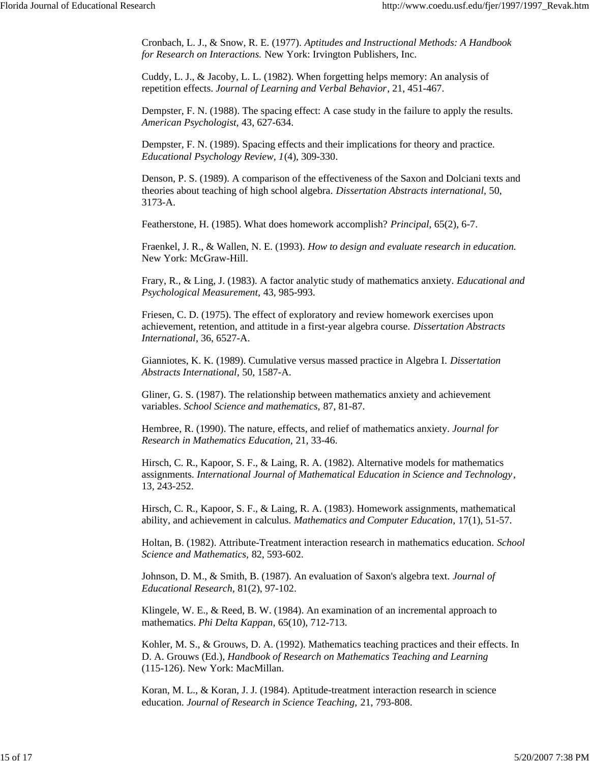Cronbach, L. J., & Snow, R. E. (1977). *Aptitudes and Instructional Methods: A Handbook for Research on Interactions.* New York: Irvington Publishers, Inc.

Cuddy, L. J., & Jacoby, L. L. (1982). When forgetting helps memory: An analysis of repetition effects. *Journal of Learning and Verbal Behavior*, 21, 451-467.

Dempster, F. N. (1988). The spacing effect: A case study in the failure to apply the results. *American Psychologist,* 43, 627-634.

Dempster, F. N. (1989). Spacing effects and their implications for theory and practice. *Educational Psychology Review, 1*(4), 309-330.

Denson, P. S. (1989). A comparison of the effectiveness of the Saxon and Dolciani texts and theories about teaching of high school algebra. *Dissertation Abstracts international,* 50, 3173-A.

Featherstone, H. (1985). What does homework accomplish? *Principal,* 65(2), 6-7.

Fraenkel, J. R., & Wallen, N. E. (1993). *How to design and evaluate research in education.* New York: McGraw-Hill.

Frary, R., & Ling, J. (1983). A factor analytic study of mathematics anxiety. *Educational and Psychological Measurement,* 43, 985-993.

Friesen, C. D. (1975). The effect of exploratory and review homework exercises upon achievement, retention, and attitude in a first-year algebra course. *Dissertation Abstracts International*, 36, 6527-A.

Gianniotes, K. K. (1989). Cumulative versus massed practice in Algebra I. *Dissertation Abstracts International,* 50, 1587-A.

Gliner, G. S. (1987). The relationship between mathematics anxiety and achievement variables. *School Science and mathematics,* 87, 81-87.

Hembree, R. (1990). The nature, effects, and relief of mathematics anxiety. *Journal for Research in Mathematics Education,* 21, 33-46.

Hirsch, C. R., Kapoor, S. F., & Laing, R. A. (1982). Alternative models for mathematics assignments. *International Journal of Mathematical Education in Science and Technology*, 13, 243-252.

Hirsch, C. R., Kapoor, S. F., & Laing, R. A. (1983). Homework assignments, mathematical ability, and achievement in calculus. *Mathematics and Computer Education,* 17(1), 51-57.

Holtan, B. (1982). Attribute-Treatment interaction research in mathematics education. *School Science and Mathematics,* 82, 593-602.

Johnson, D. M., & Smith, B. (1987). An evaluation of Saxon's algebra text. *Journal of Educational Research,* 81(2), 97-102.

Klingele, W. E., & Reed, B. W. (1984). An examination of an incremental approach to mathematics. *Phi Delta Kappan,* 65(10), 712-713.

Kohler, M. S., & Grouws, D. A. (1992). Mathematics teaching practices and their effects. In D. A. Grouws (Ed.), *Handbook of Research on Mathematics Teaching and Learning* (115-126). New York: MacMillan.

Koran, M. L., & Koran, J. J. (1984). Aptitude-treatment interaction research in science education. *Journal of Research in Science Teaching,* 21, 793-808.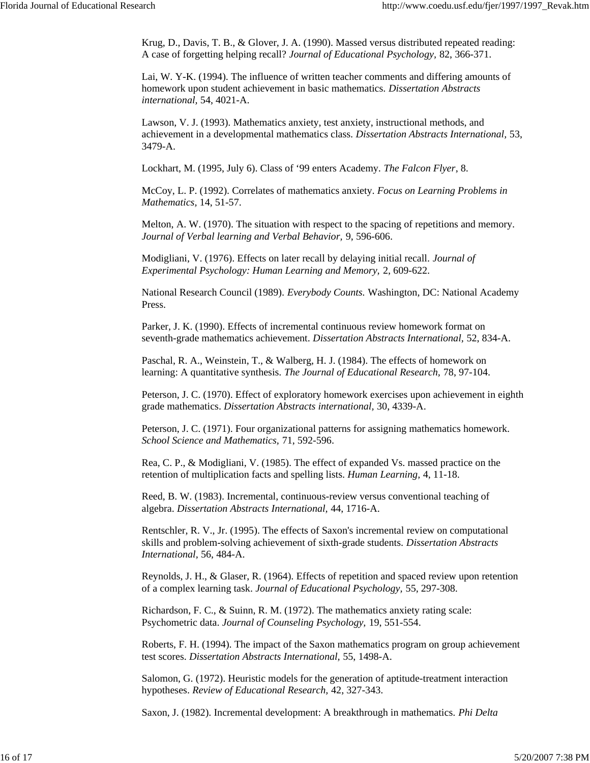Krug, D., Davis, T. B., & Glover, J. A. (1990). Massed versus distributed repeated reading: A case of forgetting helping recall? *Journal of Educational Psychology,* 82, 366-371.

Lai, W. Y-K. (1994). The influence of written teacher comments and differing amounts of homework upon student achievement in basic mathematics. *Dissertation Abstracts international,* 54, 4021-A.

Lawson, V. J. (1993). Mathematics anxiety, test anxiety, instructional methods, and achievement in a developmental mathematics class. *Dissertation Abstracts International,* 53, 3479-A.

Lockhart, M. (1995, July 6). Class of '99 enters Academy. *The Falcon Flyer*, 8.

McCoy, L. P. (1992). Correlates of mathematics anxiety. *Focus on Learning Problems in Mathematics,* 14, 51-57.

Melton, A. W. (1970). The situation with respect to the spacing of repetitions and memory. *Journal of Verbal learning and Verbal Behavior,* 9, 596-606.

Modigliani, V. (1976). Effects on later recall by delaying initial recall. *Journal of Experimental Psychology: Human Learning and Memory,* 2, 609-622.

National Research Council (1989). *Everybody Counts.* Washington, DC: National Academy Press.

Parker, J. K. (1990). Effects of incremental continuous review homework format on seventh-grade mathematics achievement. *Dissertation Abstracts International,* 52, 834-A.

Paschal, R. A., Weinstein, T., & Walberg, H. J. (1984). The effects of homework on learning: A quantitative synthesis. *The Journal of Educational Research,* 78, 97-104.

Peterson, J. C. (1970). Effect of exploratory homework exercises upon achievement in eighth grade mathematics. *Dissertation Abstracts international,* 30, 4339-A.

Peterson, J. C. (1971). Four organizational patterns for assigning mathematics homework. *School Science and Mathematics,* 71, 592-596.

Rea, C. P., & Modigliani, V. (1985). The effect of expanded Vs. massed practice on the retention of multiplication facts and spelling lists. *Human Learning,* 4, 11-18.

Reed, B. W. (1983). Incremental, continuous-review versus conventional teaching of algebra. *Dissertation Abstracts International,* 44, 1716-A.

Rentschler, R. V., Jr. (1995). The effects of Saxon's incremental review on computational skills and problem-solving achievement of sixth-grade students. *Dissertation Abstracts International,* 56, 484-A.

Reynolds, J. H., & Glaser, R. (1964). Effects of repetition and spaced review upon retention of a complex learning task. *Journal of Educational Psychology,* 55, 297-308.

Richardson, F. C., & Suinn, R. M. (1972). The mathematics anxiety rating scale: Psychometric data. *Journal of Counseling Psychology,* 19, 551-554.

Roberts, F. H. (1994). The impact of the Saxon mathematics program on group achievement test scores. *Dissertation Abstracts International,* 55, 1498-A.

Salomon, G. (1972). Heuristic models for the generation of aptitude-treatment interaction hypotheses. *Review of Educational Research,* 42, 327-343.

Saxon, J. (1982). Incremental development: A breakthrough in mathematics. *Phi Delta*